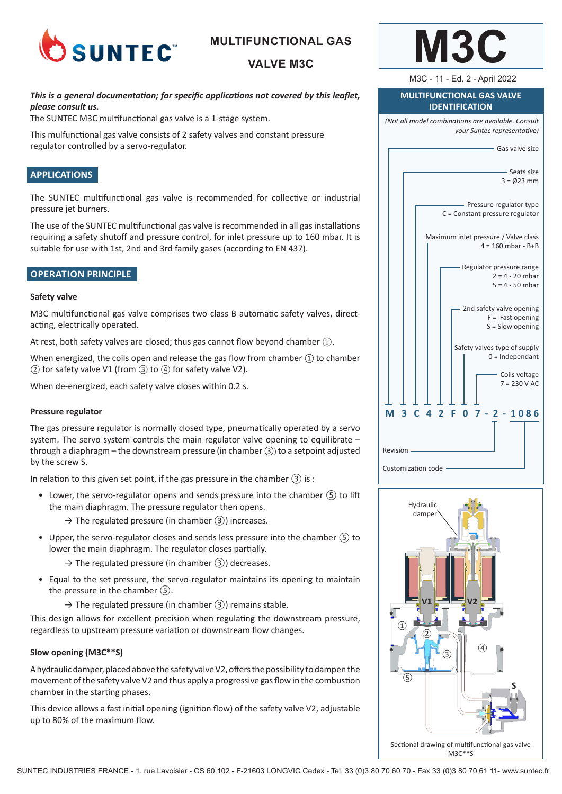

## **MULTIFUNCTIONAL GAS**

## **VALVE M3C**

## *This is a general documentation; for specific applications not covered by this leaflet, please consult us.*

The SUNTEC M3C multifunctional gas valve is a 1-stage system.

This mulfunctional gas valve consists of 2 safety valves and constant pressure regulator controlled by a servo-regulator.

### **APPLICATIONS**

The SUNTEC multifunctional gas valve is recommended for collective or industrial pressure jet burners.

The use of the SUNTEC multifunctional gas valve is recommended in all gas installations requiring a safety shutoff and pressure control, for inlet pressure up to 160 mbar. It is suitable for use with 1st, 2nd and 3rd family gases (according to EN 437).

#### **OPERATION PRINCIPLE**

#### **Safety valve**

M3C multifunctional gas valve comprises two class B automatic safety valves, directacting, electrically operated.

At rest, both safety valves are closed; thus gas cannot flow beyond chamber ①.

When energized, the coils open and release the gas flow from chamber ① to chamber ② for safety valve V1 (from ③ to ④ for safety valve V2).

When de-energized, each safety valve closes within 0.2 s.

#### **Pressure regulator**

The gas pressure regulator is normally closed type, pneumatically operated by a servo system. The servo system controls the main regulator valve opening to equilibrate  $$ through a diaphragm – the downstream pressure (in chamber ③) to a setpoint adjusted by the screw S.

In relation to this given set point, if the gas pressure in the chamber  $(3)$  is :

- Lower, the servo-regulator opens and sends pressure into the chamber ⑤ to lift the main diaphragm. The pressure regulator then opens.
	- $\rightarrow$  The regulated pressure (in chamber  $(3)$ ) increases.
- Upper, the servo-regulator closes and sends less pressure into the chamber  $\circled{5}$  to lower the main diaphragm. The regulator closes partially.
	- $\rightarrow$  The regulated pressure (in chamber  $(3)$ ) decreases.
- Equal to the set pressure, the servo-regulator maintains its opening to maintain the pressure in the chamber ⑤.
	- $\rightarrow$  The regulated pressure (in chamber  $(3)$ ) remains stable.

This design allows for excellent precision when regulating the downstream pressure, regardless to upstream pressure variation or downstream flow changes.

#### **Slow opening (M3C\*\*S)**

A hydraulic damper, placed above the safety valve V2, offers the possibility to dampen the movement of the safety valve V2 and thus apply a progressive gas flow in the combustion chamber in the starting phases.

This device allows a fast initial opening (ignition flow) of the safety valve V2, adjustable up to 80% of the maximum flow.



M3C - 11 - Ed. 2 - April 2022

#### **MULTIFUNCTIONAL GAS VALVE IDENTIFICATION**

*(Not all model combinations are available. Consult your Suntec representative)*



Customization code

Revision